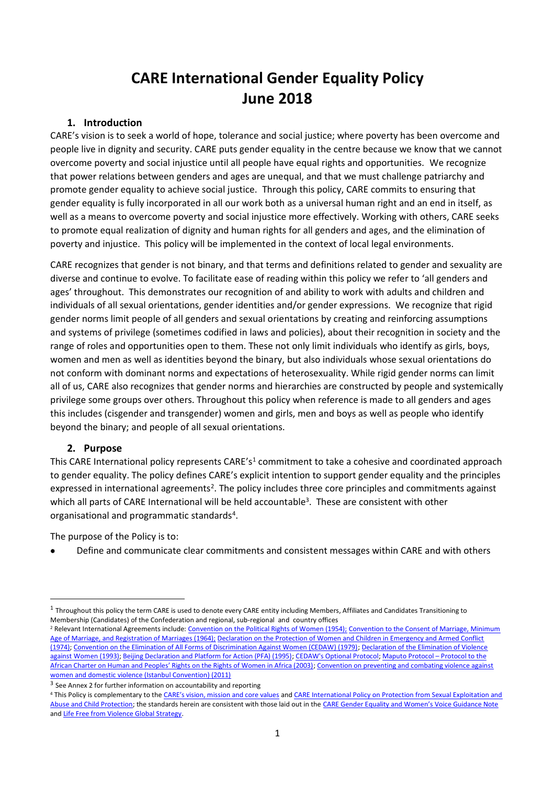# **CARE International Gender Equality Policy June 2018**

### **1. Introduction**

CARE's vision is to seek a world of hope, tolerance and social justice; where poverty has been overcome and people live in dignity and security. CARE puts gender equality in the centre because we know that we cannot overcome poverty and social injustice until all people have equal rights and opportunities*.* We recognize that power relations between genders and ages are unequal, and that we must challenge patriarchy and promote gender equality to achieve social justice. Through this policy, CARE commits to ensuring that gender equality is fully incorporated in all our work both as a universal human right and an end in itself, as well as a means to overcome poverty and social injustice more effectively. Working with others, CARE seeks to promote equal realization of dignity and human rights for all genders and ages, and the elimination of poverty and injustice. This policy will be implemented in the context of local legal environments.

CARE recognizes that gender is not binary, and that terms and definitions related to gender and sexuality are diverse and continue to evolve. To facilitate ease of reading within this policy we refer to 'all genders and ages' throughout. This demonstrates our recognition of and ability to work with adults and children and individuals of all sexual orientations, gender identities and/or gender expressions. We recognize that rigid gender norms limit people of all genders and sexual orientations by creating and reinforcing assumptions and systems of privilege (sometimes codified in laws and policies), about their recognition in society and the range of roles and opportunities open to them. These not only limit individuals who identify as girls, boys, women and men as well as identities beyond the binary, but also individuals whose sexual orientations do not conform with dominant norms and expectations of heterosexuality. While rigid gender norms can limit all of us, CARE also recognizes that gender norms and hierarchies are constructed by people and systemically privilege some groups over others. Throughout this policy when reference is made to all genders and ages this includes (cisgender and transgender) women and girls, men and boys as well as people who identify beyond the binary; and people of all sexual orientations.

#### **2. Purpose**

This CARE International policy represents CARE's<sup>1</sup> commitment to take a cohesive and coordinated approach to gender equality. The policy defines CARE's explicit intention to support gender equality and the principles expressed in international agreements<sup>2</sup>. The policy includes three core principles and commitments against which all parts of CARE International will be held accountable<sup>3</sup>. These are consistent with other organisational and programmatic standards<sup>4</sup>.

The purpose of the Policy is to:

• Define and communicate clear commitments and consistent messages within CARE and with others

 $1$  Throughout this policy the term CARE is used to denote every CARE entity including Members, Affiliates and Candidates Transitioning to Membership (Candidates) of the Confederation and regional, sub-regional and country offices

<sup>&</sup>lt;sup>2</sup> Relevant International Agreements include[: Convention on the Political Rights of Women \(1954\);](https://www.refworld.org/cgi-bin/texis/vtx/rwmain?page=type&type=MULTILATERALTREATY&publisher=UNGA&coi=&docid=3ae6b3b08&skip=0) Convention to the Consent of Marriage, Minimum [Age of Marriage, and Registration of Marriages \(1964\);](https://www2.ohchr.org/english/law/pdf/convention.pdf) [Declaration on the Protection of Women and Children in Emergency and Armed Conflict](https://www2.ohchr.org/english/law/pdf/protectionwomen.pdf)  [\(1974\);](https://www2.ohchr.org/english/law/pdf/protectionwomen.pdf) [Convention on the Elimination of All Forms of Discrimination Against Women \(CEDAW\) \(1979\);](https://www.un.org/womenwatch/daw/cedaw/text/econvention.htm) [Declaration of the Elimination of Violence](https://www.ohchr.org/EN/ProfessionalInterest/Pages/ViolenceAgainstWomen.aspx)  [against Women](https://www.ohchr.org/EN/ProfessionalInterest/Pages/ViolenceAgainstWomen.aspx) (1993)[; Beijing Declaration and Platform for Action \(PFA\) \(1995\);](https://www.un.org/womenwatch/daw/beijing/platform/) [CEDAW's Optional Protocol;](https://www.un.org/womenwatch/daw/cedaw/protocol/text.htm) [Maputo Protocol](https://www.un.org/en/africa/osaa/pdf/au/protocol_rights_women_africa_2003.pdf) – Protocol to the [African Charter on Human and Peoples' Rights on the Rights of Women in Africa \(2003\)](https://www.un.org/en/africa/osaa/pdf/au/protocol_rights_women_africa_2003.pdf); Convention on preventing and combating violence against [women and domestic violence \(Istanbul Convention\) \(2011\)](https://rm.coe.int/CoERMPublicCommonSearchServices/DisplayDCTMContent?documentId=090000168008482e)

<sup>&</sup>lt;sup>3</sup> See Annex 2 for further information on accountability and reporting

<sup>4</sup> This Policy is complementary to the [CARE's vision, mission and core values](https://care.org/about-us/mission-vision/) and CARE International Policy on Protection from Sexual Exploitation and [Abuse and Child Protection;](https://www.care.at/wp-content/uploads/2020/02/CARE-International-Safeguarding-Policy-2020.pdf) the standards herein are consistent with those laid out in the [CARE Gender Equality and Women's Voice Guidance Note](https://insights.careinternational.org.uk/images/in-practice/GEWV/GEWV_guidance-note_english_2019.pdf) an[d Life Free from Violence Global Strategy.](https://www.care-international.org/files/files/Summary-Right%20to%20a%20Life%20Free%20from%20Violence.pdf)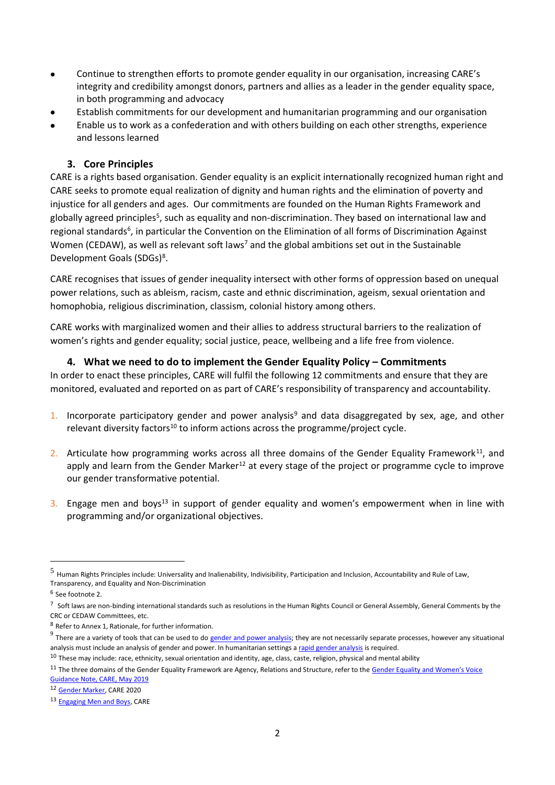- Continue to strengthen efforts to promote gender equality in our organisation, increasing CARE's integrity and credibility amongst donors, partners and allies as a leader in the gender equality space, in both programming and advocacy
- Establish commitments for our development and humanitarian programming and our organisation
- Enable us to work as a confederation and with others building on each other strengths, experience and lessons learned

#### **3. Core Principles**

CARE is a rights based organisation. Gender equality is an explicit internationally recognized human right and CARE seeks to promote equal realization of dignity and human rights and the elimination of poverty and injustice for all genders and ages. Our commitments are founded on the Human Rights Framework and globally agreed principles<sup>5</sup>, such as equality and non-discrimination. They based on international law and regional standards<sup>6</sup>, in particular the Convention on the Elimination of all forms of Discrimination Against Women (CEDAW), as well as relevant soft laws<sup>7</sup> and the global ambitions set out in the Sustainable Development Goals (SDGs)<sup>8</sup>.

CARE recognises that issues of gender inequality intersect with other forms of oppression based on unequal power relations, such as ableism, racism, caste and ethnic discrimination, ageism, sexual orientation and homophobia, religious discrimination, classism, colonial history among others.

CARE works with marginalized women and their allies to address structural barriers to the realization of women's rights and gender equality; social justice, peace, wellbeing and a life free from violence.

#### **4. What we need to do to implement the Gender Equality Policy – Commitments**

In order to enact these principles, CARE will fulfil the following 12 commitments and ensure that they are monitored, evaluated and reported on as part of CARE's responsibility of transparency and accountability.

- 1. Incorporate participatory gender and power analysis<sup>9</sup> and data disaggregated by sex, age, and other relevant diversity factors<sup>10</sup> to inform actions across the programme/project cycle.
- 2. Articulate how programming works across all three domains of the Gender Equality Framework<sup>11</sup>, and apply and learn from the Gender Marker<sup>12</sup> at every stage of the project or programme cycle to improve our gender transformative potential.
- 3. Engage men and boys<sup>13</sup> in support of gender equality and women's empowerment when in line with programming and/or organizational objectives.

<sup>5</sup> Human Rights Principles include: Universality and Inalienability, Indivisibility, Participation and Inclusion, Accountability and Rule of Law, Transparency, and Equality and Non-Discrimination

<sup>6</sup> See footnote 2.

 $^7$  Soft laws are non-binding international standards such as resolutions in the Human Rights Council or General Assembly, General Comments by the CRC or CEDAW Committees, etc.

<sup>8</sup> Refer to Annex 1, Rationale, for further information.

<sup>&</sup>lt;sup>9</sup> There are a variety of tools that can be used to d[o gender and power analysis;](https://genderinpractice.care.org/core-concepts/gender-analysis-framework/) they are not necessarily separate processes, however any situational analysis must include an analysis of gender and power. In humanitarian settings [a rapid gender analysis](https://insights.careinternational.org.uk/in-practice/rapid-gender-analysis) is required.

 $10$  These may include: race, ethnicity, sexual orientation and identity, age, class, caste, religion, physical and mental ability

<sup>&</sup>lt;sup>11</sup> The three domains of the Gender Equality Framework are Agency, Relations and Structure, refer to the Gender Equality and Women's Voice [Guidance Note, CARE, May 2019](https://insights.careinternational.org.uk/images/in-practice/GEWV/GEWV_guidance-note_english_2019.pdf) 

<sup>12</sup> [Gender Marker,](https://genderinpractice.care.org/gender-marker/) CARE 2020

<sup>13</sup> [Engaging Men and Boys,](https://insights.careinternational.org.uk/in-practice/engaging-men-and-boys) CARE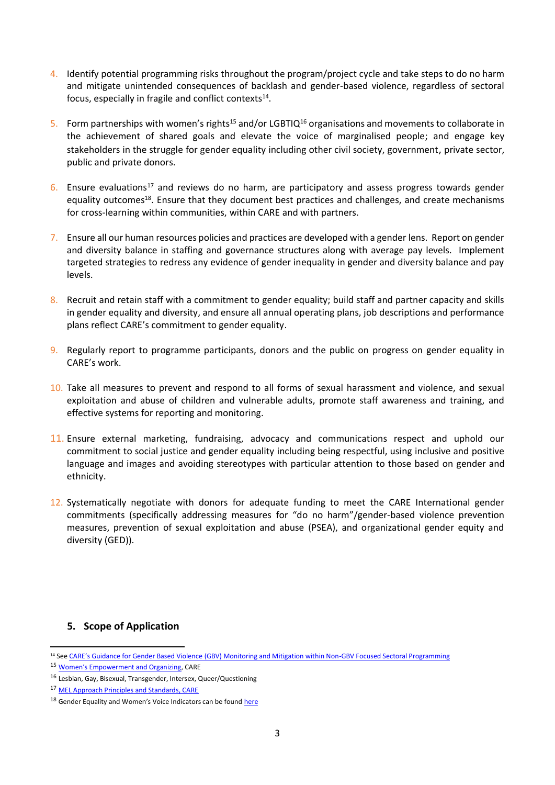- 4. Identify potential programming risks throughout the program/project cycle and take steps to do no harm and mitigate unintended consequences of backlash and gender-based violence, regardless of sectoral focus, especially in fragile and conflict contexts<sup>14</sup>.
- 5. Form partnerships with women's rights<sup>15</sup> and/or LGBTIQ<sup>16</sup> organisations and movements to collaborate in the achievement of shared goals and elevate the voice of marginalised people; and engage key stakeholders in the struggle for gender equality including other civil society, government, private sector, public and private donors.
- 6. Ensure evaluations<sup>17</sup> and reviews do no harm, are participatory and assess progress towards gender equality outcomes<sup>18</sup>. Ensure that they document best practices and challenges, and create mechanisms for cross-learning within communities, within CARE and with partners.
- 7. Ensure all our human resources policies and practices are developed with a gender lens. Report on gender and diversity balance in staffing and governance structures along with average pay levels. Implement targeted strategies to redress any evidence of gender inequality in gender and diversity balance and pay levels.
- 8. Recruit and retain staff with a commitment to gender equality; build staff and partner capacity and skills in gender equality and diversity, and ensure all annual operating plans, job descriptions and performance plans reflect CARE's commitment to gender equality.
- 9. Regularly report to programme participants, donors and the public on progress on gender equality in CARE's work.
- 10. Take all measures to prevent and respond to all forms of sexual harassment and violence, and sexual exploitation and abuse of children and vulnerable adults, promote staff awareness and training, and effective systems for reporting and monitoring.
- 11. Ensure external marketing, fundraising, advocacy and communications respect and uphold our commitment to social justice and gender equality including being respectful, using inclusive and positive language and images and avoiding stereotypes with particular attention to those based on gender and ethnicity.
- 12. Systematically negotiate with donors for adequate funding to meet the CARE International gender commitments (specifically addressing measures for "do no harm"/gender-based violence prevention measures, prevention of sexual exploitation and abuse (PSEA), and organizational gender equity and diversity (GED)).

#### **5. Scope of Application**

<sup>&</sup>lt;sup>14</sup> See CARE's Guidance for Gender Based Violence [\(GBV\) Monitoring and Mitigation within Non-GBV Focused Sectoral Programming](https://care.org/wp-content/uploads/2020/10/CARE-GBV-ME-Guidance_0.pdf)

<sup>15</sup> [Women's Empowerment and Organizing](https://care.org/wp-content/uploads/2020/06/SII-Womens-Empowerment-and-Organizing-Brief-2009.pdf), CARE

 $^{16}$  Lesbian, Gay, Bisexual, Transgender, Intersex, Queer/Questioning

<sup>17</sup> [MEL Approach Principles and Standards, CARE](http://careglobalmel.careinternationalwikis.org/mel_approach_principles_and_standards)

<sup>&</sup>lt;sup>18</sup> Gender Equality and Women's Voice Indicators can be found [here](http://careglobalmel.careinternationalwikis.org/supplementary_indicators_gender_equality)